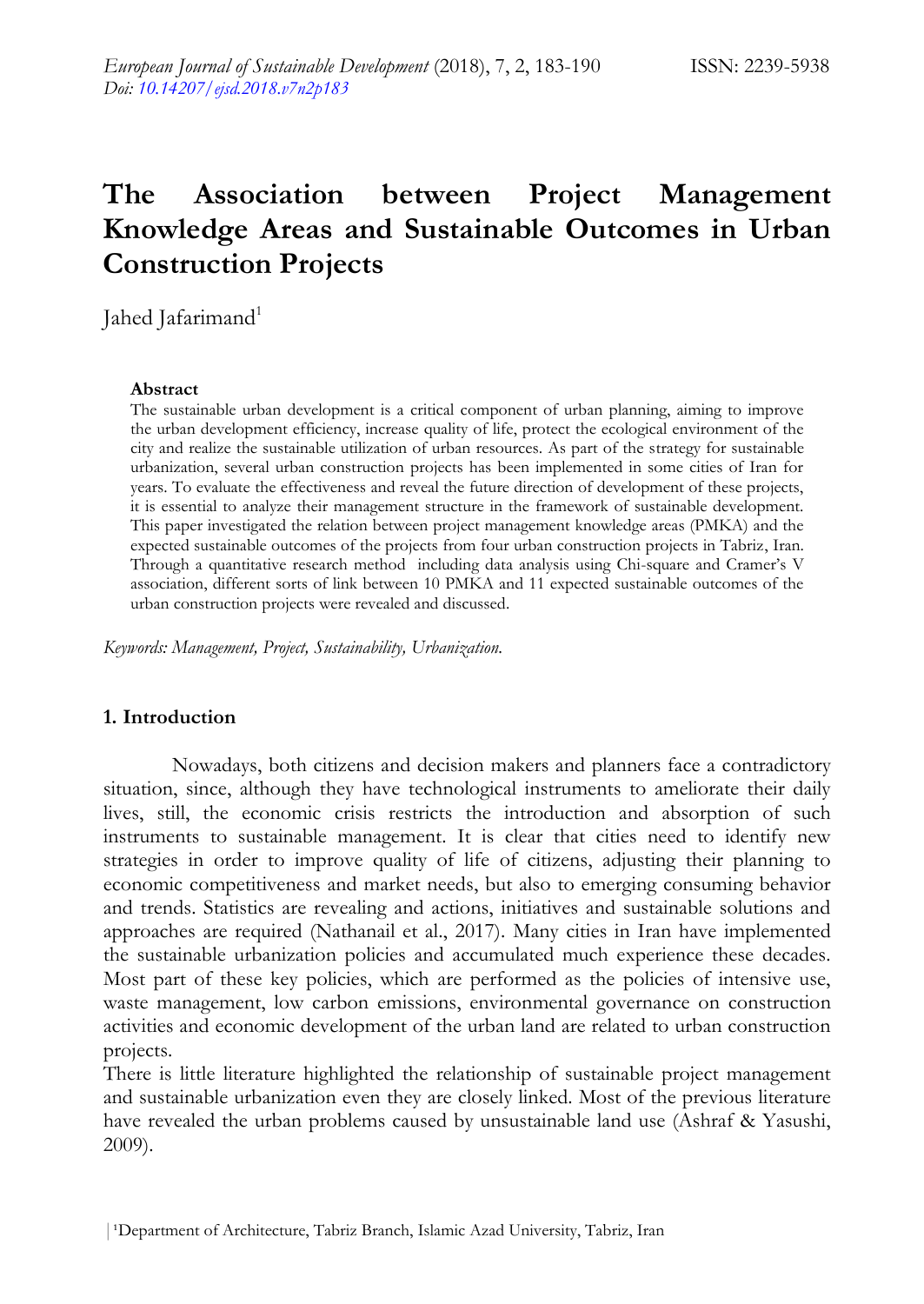# **The Association between Project Management Knowledge Areas and Sustainable Outcomes in Urban Construction Projects**

Jahed Jafarimand<sup>1</sup>

#### **Abstract**

The sustainable urban development is a critical component of urban planning, aiming to improve the urban development efficiency, increase quality of life, protect the ecological environment of the city and realize the sustainable utilization of urban resources. As part of the strategy for sustainable urbanization, several urban construction projects has been implemented in some cities of Iran for years. To evaluate the effectiveness and reveal the future direction of development of these projects, it is essential to analyze their management structure in the framework of sustainable development. This paper investigated the relation between project management knowledge areas (PMKA) and the expected sustainable outcomes of the projects from four urban construction projects in Tabriz, Iran. Through a quantitative research method including data analysis using Chi-square and Cramer's V association, different sorts of link between 10 PMKA and 11 expected sustainable outcomes of the urban construction projects were revealed and discussed.

*Keywords: Management, Project, Sustainability, Urbanization.*

### **1. Introduction**

Nowadays, both citizens and decision makers and planners face a contradictory situation, since, although they have technological instruments to ameliorate their daily lives, still, the economic crisis restricts the introduction and absorption of such instruments to sustainable management. It is clear that cities need to identify new strategies in order to improve quality of life of citizens, adjusting their planning to economic competitiveness and market needs, but also to emerging consuming behavior and trends. Statistics are revealing and actions, initiatives and sustainable solutions and approaches are required (Nathanail et al., 2017). Many cities in Iran have implemented the sustainable urbanization policies and accumulated much experience these decades. Most part of these key policies, which are performed as the policies of intensive use, waste management, low carbon emissions, environmental governance on construction activities and economic development of the urban land are related to urban construction projects.

There is little literature highlighted the relationship of sustainable project management and sustainable urbanization even they are closely linked. Most of the previous literature have revealed the urban problems caused by unsustainable land use (Ashraf & Yasushi, 2009).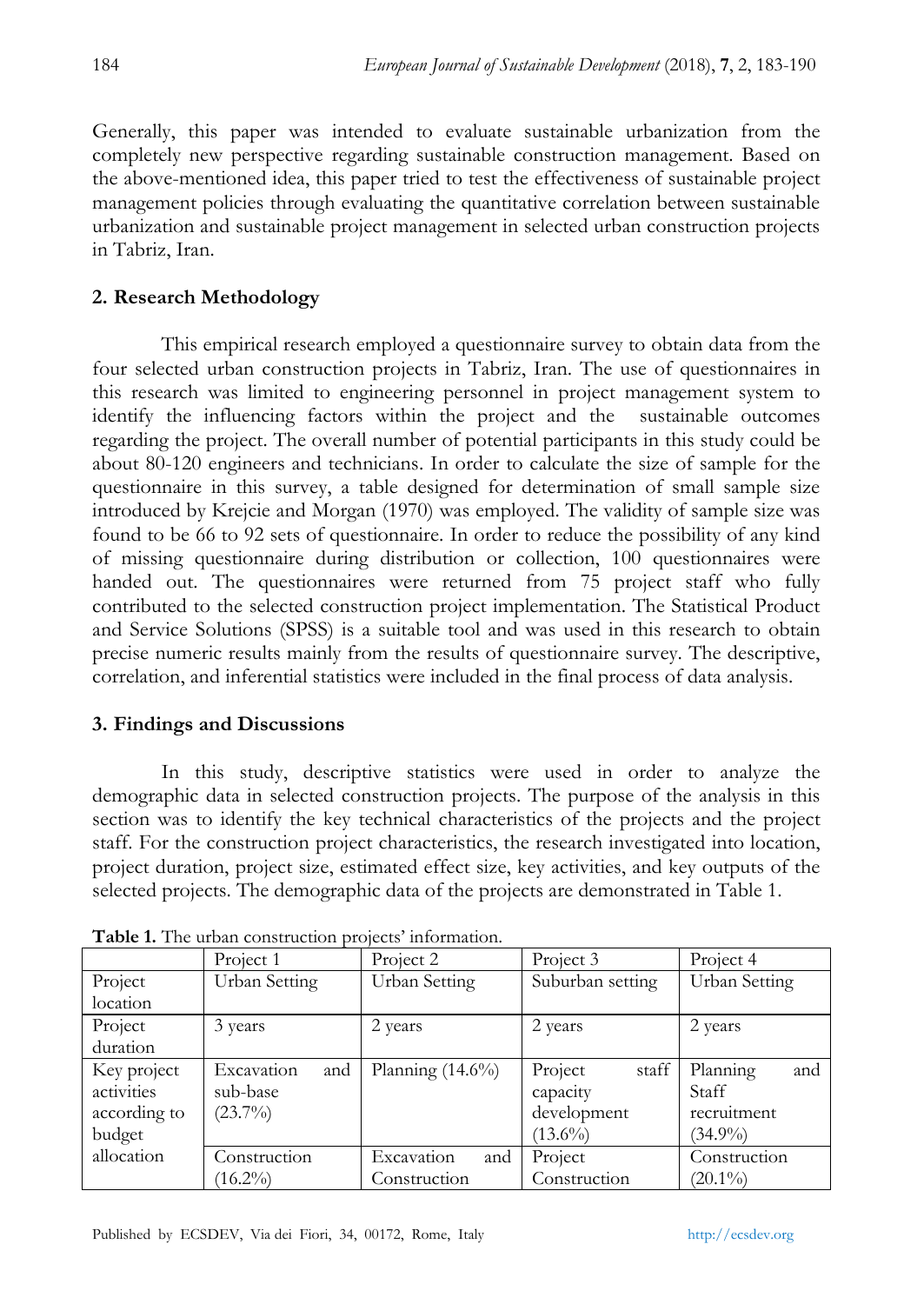Generally, this paper was intended to evaluate sustainable urbanization from the completely new perspective regarding sustainable construction management. Based on the above-mentioned idea, this paper tried to test the effectiveness of sustainable project management policies through evaluating the quantitative correlation between sustainable urbanization and sustainable project management in selected urban construction projects in Tabriz, Iran.

## **2. Research Methodology**

This empirical research employed a questionnaire survey to obtain data from the four selected urban construction projects in Tabriz, Iran. The use of questionnaires in this research was limited to engineering personnel in project management system to identify the influencing factors within the project and the sustainable outcomes regarding the project. The overall number of potential participants in this study could be about 80-120 engineers and technicians. In order to calculate the size of sample for the questionnaire in this survey, a table designed for determination of small sample size introduced by Krejcie and Morgan (1970) was employed. The validity of sample size was found to be 66 to 92 sets of questionnaire. In order to reduce the possibility of any kind of missing questionnaire during distribution or collection, 100 questionnaires were handed out. The questionnaires were returned from 75 project staff who fully contributed to the selected construction project implementation. The Statistical Product and Service Solutions (SPSS) is a suitable tool and was used in this research to obtain precise numeric results mainly from the results of questionnaire survey. The descriptive, correlation, and inferential statistics were included in the final process of data analysis.

## **3. Findings and Discussions**

In this study, descriptive statistics were used in order to analyze the demographic data in selected construction projects. The purpose of the analysis in this section was to identify the key technical characteristics of the projects and the project staff. For the construction project characteristics, the research investigated into location, project duration, project size, estimated effect size, key activities, and key outputs of the selected projects. The demographic data of the projects are demonstrated in Table 1.

|              | Project 1         | Project 2           | Project 3        | Project 4       |
|--------------|-------------------|---------------------|------------------|-----------------|
| Project      | Urban Setting     | Urban Setting       | Suburban setting | Urban Setting   |
| location     |                   |                     |                  |                 |
| Project      | 3 years           | 2 years             | 2 years          | 2 years         |
| duration     |                   |                     |                  |                 |
| Key project  | Excavation<br>and | Planning $(14.6\%)$ | Project<br>staff | Planning<br>and |
| activities   | sub-base          |                     | capacity         | Staff           |
| according to | $(23.7\%)$        |                     | development      | recruitment     |
| budget       |                   |                     | $(13.6\%)$       | $(34.9\%)$      |
| allocation   | Construction      | Excavation<br>and   | Project          | Construction    |
|              | $(16.2\%)$        | Construction        | Construction     | $(20.1\%)$      |

**Table 1.** The urban construction projects' information.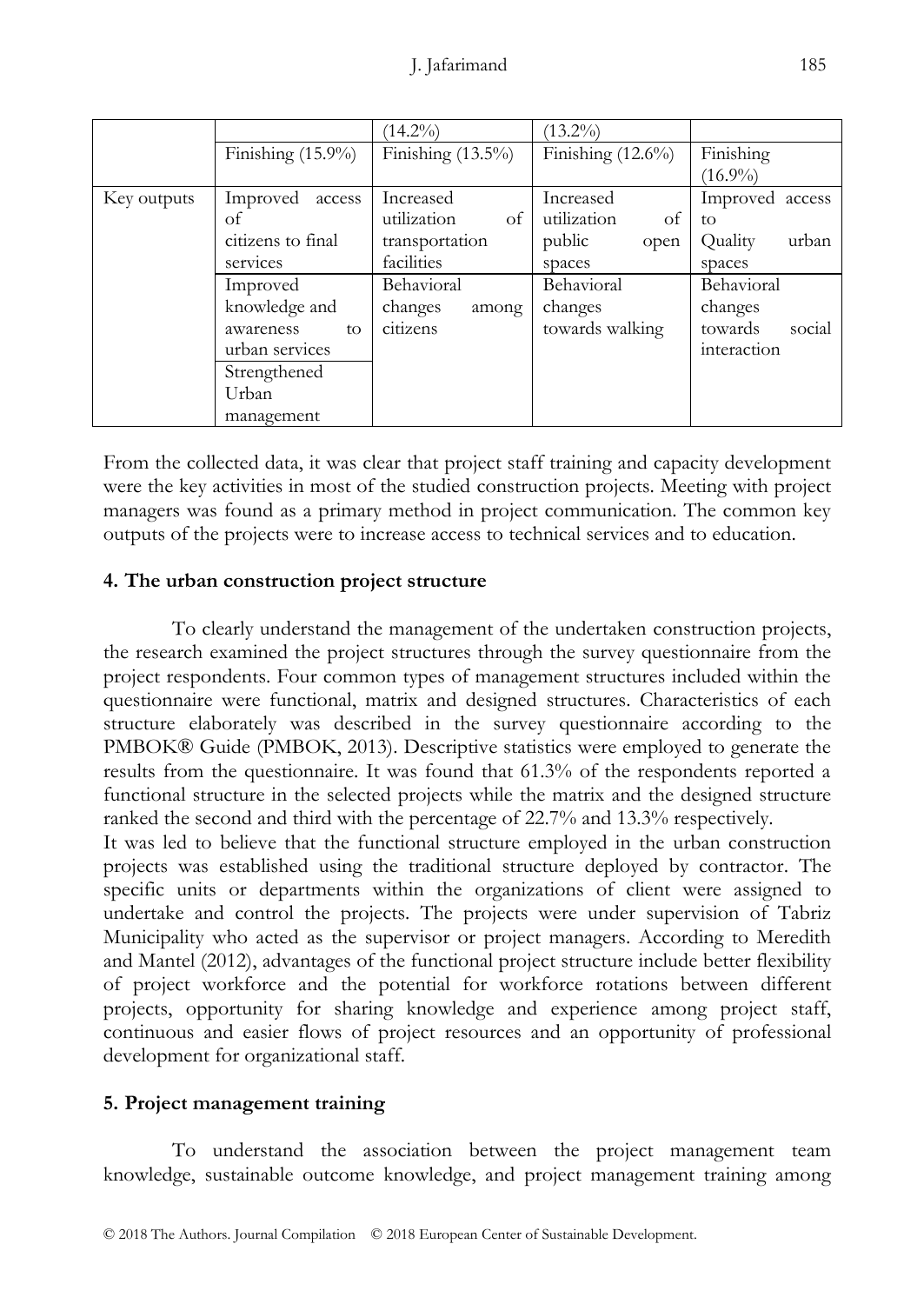|             |                      | $(14.2\%)$           | $(13.2\%)$           |                   |
|-------------|----------------------|----------------------|----------------------|-------------------|
|             | Finishing $(15.9\%)$ | Finishing $(13.5\%)$ | Finishing $(12.6\%)$ | Finishing         |
|             |                      |                      |                      | $(16.9\%)$        |
| Key outputs | Improved<br>access   | Increased            | Increased            | Improved access   |
|             | οf                   | utilization<br>of    | utilization<br>of    | to                |
|             | citizens to final    | transportation       | public<br>open       | urban<br>Quality  |
|             | services             | facilities           | spaces               | spaces            |
|             | Improved             | Behavioral           | Behavioral           | Behavioral        |
|             | knowledge and        | changes<br>among     | changes              | changes           |
|             | awareness<br>to      | citizens             | towards walking      | social<br>towards |
|             | urban services       |                      |                      | interaction       |
|             | Strengthened         |                      |                      |                   |
|             | Urban                |                      |                      |                   |
|             | management           |                      |                      |                   |

From the collected data, it was clear that project staff training and capacity development were the key activities in most of the studied construction projects. Meeting with project managers was found as a primary method in project communication. The common key outputs of the projects were to increase access to technical services and to education.

### **4. The urban construction project structure**

To clearly understand the management of the undertaken construction projects, the research examined the project structures through the survey questionnaire from the project respondents. Four common types of management structures included within the questionnaire were functional, matrix and designed structures. Characteristics of each structure elaborately was described in the survey questionnaire according to the PMBOK® Guide (PMBOK, 2013). Descriptive statistics were employed to generate the results from the questionnaire. It was found that 61.3% of the respondents reported a functional structure in the selected projects while the matrix and the designed structure ranked the second and third with the percentage of 22.7% and 13.3% respectively.

It was led to believe that the functional structure employed in the urban construction projects was established using the traditional structure deployed by contractor. The specific units or departments within the organizations of client were assigned to undertake and control the projects. The projects were under supervision of Tabriz Municipality who acted as the supervisor or project managers. According to Meredith and Mantel (2012), advantages of the functional project structure include better flexibility of project workforce and the potential for workforce rotations between different projects, opportunity for sharing knowledge and experience among project staff, continuous and easier flows of project resources and an opportunity of professional development for organizational staff.

## **5. Project management training**

To understand the association between the project management team knowledge, sustainable outcome knowledge, and project management training among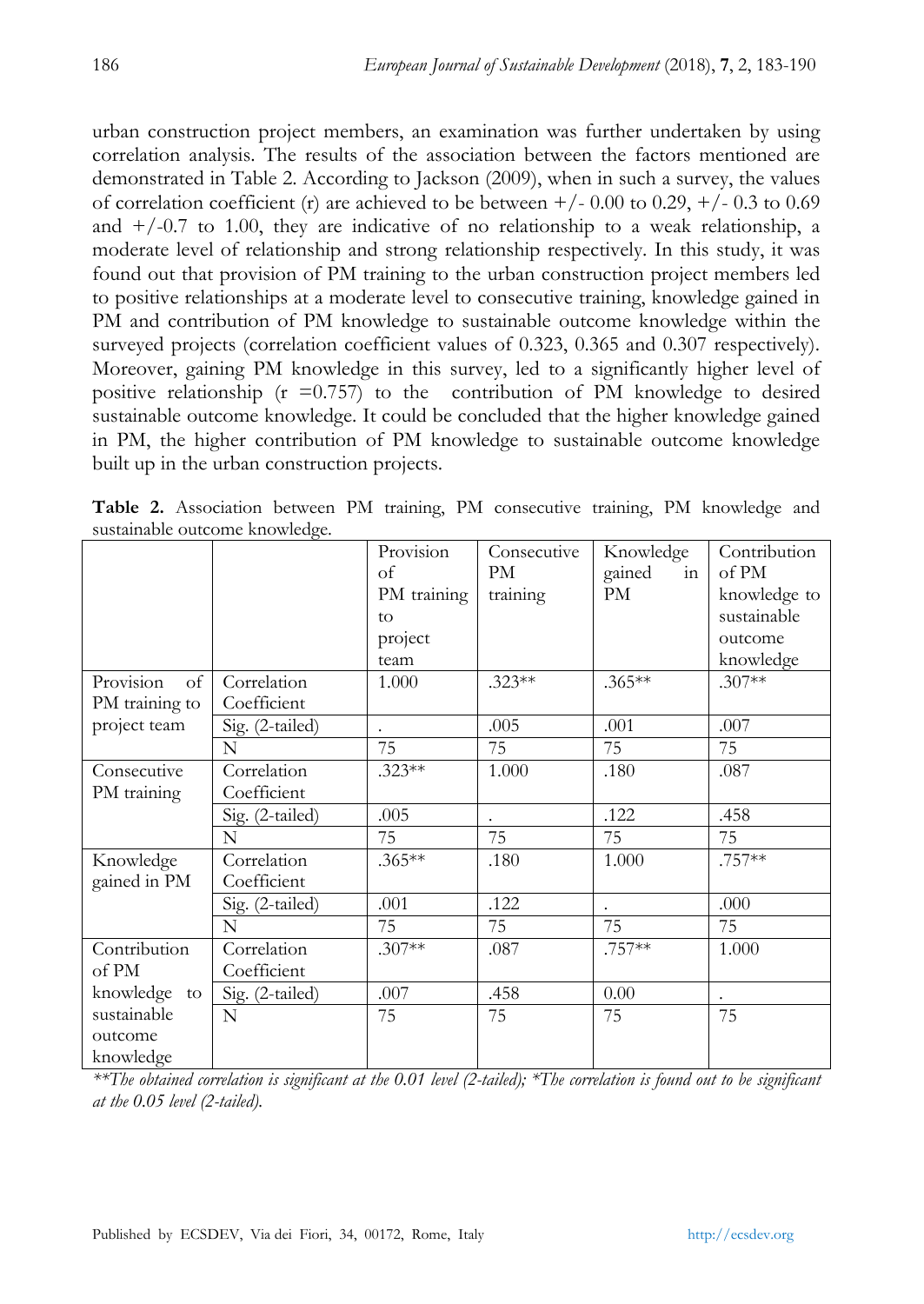urban construction project members, an examination was further undertaken by using correlation analysis. The results of the association between the factors mentioned are demonstrated in Table 2. According to Jackson (2009), when in such a survey, the values of correlation coefficient (r) are achieved to be between  $+/- 0.00$  to 0.29,  $+/- 0.3$  to 0.69 and  $+/-0.7$  to 1.00, they are indicative of no relationship to a weak relationship, a moderate level of relationship and strong relationship respectively. In this study, it was found out that provision of PM training to the urban construction project members led to positive relationships at a moderate level to consecutive training, knowledge gained in PM and contribution of PM knowledge to sustainable outcome knowledge within the surveyed projects (correlation coefficient values of 0.323, 0.365 and 0.307 respectively). Moreover, gaining PM knowledge in this survey, led to a significantly higher level of positive relationship ( $r = 0.757$ ) to the contribution of PM knowledge to desired sustainable outcome knowledge. It could be concluded that the higher knowledge gained in PM, the higher contribution of PM knowledge to sustainable outcome knowledge built up in the urban construction projects.

|                 |                 | Provision   | Consecutive | Knowledge            | Contribution |
|-----------------|-----------------|-------------|-------------|----------------------|--------------|
|                 |                 | of          | PM          | gained<br>in         | of PM        |
|                 |                 | PM training | training    | PM                   | knowledge to |
|                 |                 | to          |             |                      | sustainable  |
|                 |                 | project     |             |                      | outcome      |
|                 |                 | team        |             |                      | knowledge    |
| Provision<br>of | Correlation     | 1.000       | $.323**$    | $.365**$             | $.307**$     |
| PM training to  | Coefficient     |             |             |                      |              |
| project team    | Sig. (2-tailed) |             | .005        | .001                 | .007         |
|                 | $\mathbf N$     | 75          | 75          | 75                   | 75           |
| Consecutive     | Correlation     | $.323**$    | 1.000       | .180                 | .087         |
| PM training     | Coefficient     |             |             |                      |              |
|                 | Sig. (2-tailed) | .005        |             | .122                 | .458         |
|                 | N               | 75          | 75          | 75                   | 75           |
| Knowledge       | Correlation     | $.365**$    | .180        | 1.000                | .757**       |
| gained in PM    | Coefficient     |             |             |                      |              |
|                 | Sig. (2-tailed) | .001        | .122        | $\ddot{\phantom{0}}$ | .000         |
|                 | N               | 75          | 75          | 75                   | 75           |
| Contribution    | Correlation     | $.307**$    | .087        | .757**               | 1.000        |
| of PM           | Coefficient     |             |             |                      |              |
| knowledge to    | Sig. (2-tailed) | .007        | .458        | 0.00                 |              |
| sustainable     | $\mathbf N$     | 75          | 75          | 75                   | 75           |
| outcome         |                 |             |             |                      |              |
| knowledge       |                 |             |             |                      |              |

**Table 2.** Association between PM training, PM consecutive training, PM knowledge and sustainable outcome knowledge.

*\*\*The obtained correlation is significant at the 0.01 level (2-tailed); \*The correlation is found out to be significant at the 0.05 level (2-tailed).*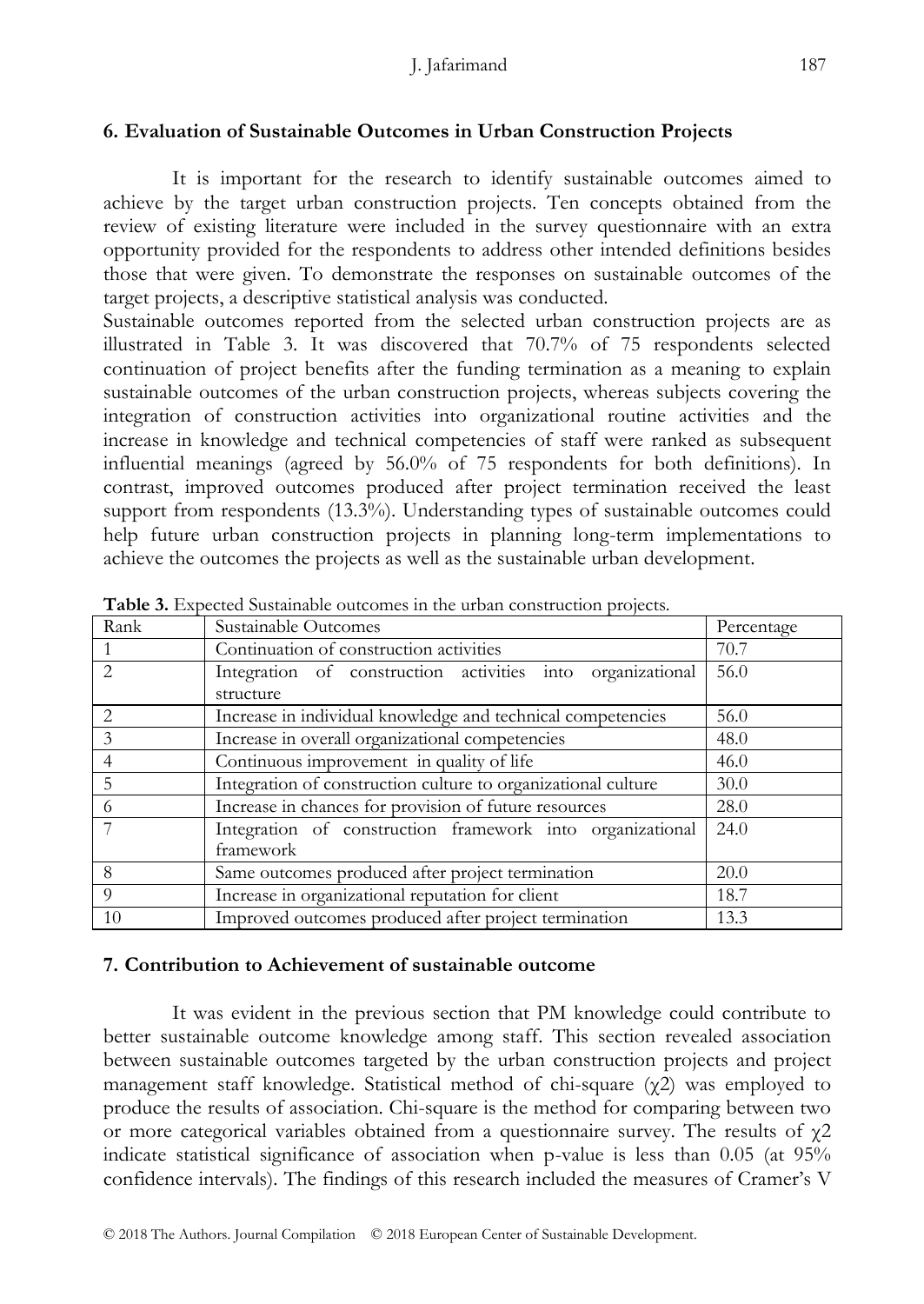## **6. Evaluation of Sustainable Outcomes in Urban Construction Projects**

It is important for the research to identify sustainable outcomes aimed to achieve by the target urban construction projects. Ten concepts obtained from the review of existing literature were included in the survey questionnaire with an extra opportunity provided for the respondents to address other intended definitions besides those that were given. To demonstrate the responses on sustainable outcomes of the target projects, a descriptive statistical analysis was conducted.

Sustainable outcomes reported from the selected urban construction projects are as illustrated in Table 3. It was discovered that 70.7% of 75 respondents selected continuation of project benefits after the funding termination as a meaning to explain sustainable outcomes of the urban construction projects, whereas subjects covering the integration of construction activities into organizational routine activities and the increase in knowledge and technical competencies of staff were ranked as subsequent influential meanings (agreed by 56.0% of 75 respondents for both definitions). In contrast, improved outcomes produced after project termination received the least support from respondents (13.3%). Understanding types of sustainable outcomes could help future urban construction projects in planning long-term implementations to achieve the outcomes the projects as well as the sustainable urban development.

| Rank                        | Sustainable Outcomes                                                    | Percentage |
|-----------------------------|-------------------------------------------------------------------------|------------|
|                             | Continuation of construction activities                                 | 70.7       |
|                             | Integration of construction activities into organizational<br>structure | 56.0       |
| $\mathcal{D}_{\mathcal{A}}$ | Increase in individual knowledge and technical competencies             | 56.0       |
| $\mathcal{Z}$               | Increase in overall organizational competencies                         | 48.0       |
|                             | Continuous improvement in quality of life                               | 46.0       |
| 5                           | Integration of construction culture to organizational culture           | 30.0       |
| 6                           | Increase in chances for provision of future resources                   | 28.0       |
|                             | Integration of construction framework into organizational<br>framework  | 24.0       |
| 8                           | Same outcomes produced after project termination                        | 20.0       |
| $\Omega$                    | Increase in organizational reputation for client                        | 18.7       |
| 10                          | Improved outcomes produced after project termination                    | 13.3       |

**Table 3.** Expected Sustainable outcomes in the urban construction projects.

### **7. Contribution to Achievement of sustainable outcome**

It was evident in the previous section that PM knowledge could contribute to better sustainable outcome knowledge among staff. This section revealed association between sustainable outcomes targeted by the urban construction projects and project management staff knowledge. Statistical method of chi-square  $(\gamma 2)$  was employed to produce the results of association. Chi-square is the method for comparing between two or more categorical variables obtained from a questionnaire survey. The results of  $\gamma$ 2 indicate statistical significance of association when p-value is less than 0.05 (at 95% confidence intervals). The findings of this research included the measures of Cramer's V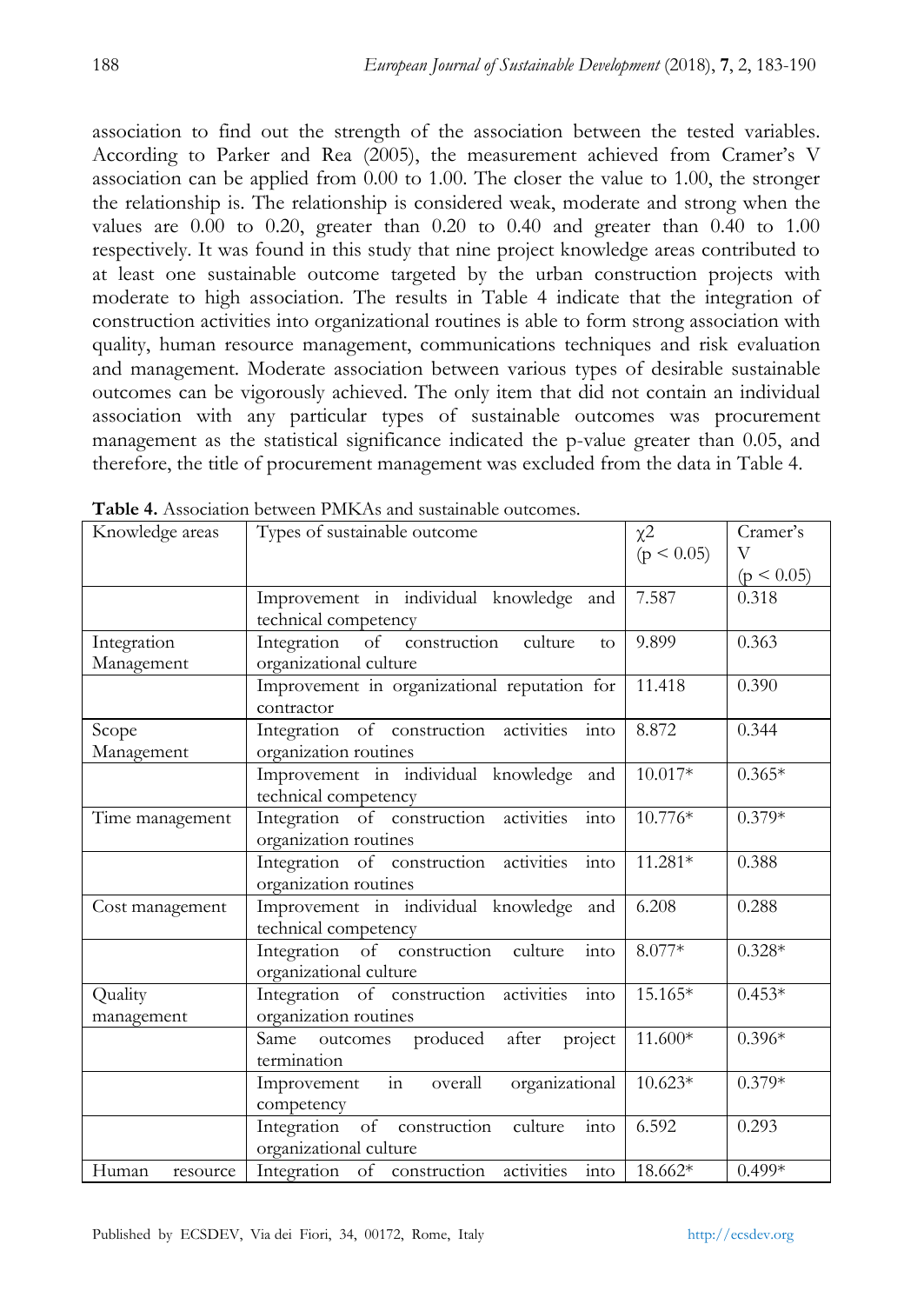association to find out the strength of the association between the tested variables. According to Parker and Rea (2005), the measurement achieved from Cramer's V association can be applied from 0.00 to 1.00. The closer the value to 1.00, the stronger the relationship is. The relationship is considered weak, moderate and strong when the values are  $0.00$  to  $0.20$ , greater than  $0.20$  to  $0.40$  and greater than  $0.40$  to  $1.00$ respectively. It was found in this study that nine project knowledge areas contributed to at least one sustainable outcome targeted by the urban construction projects with moderate to high association. The results in Table 4 indicate that the integration of construction activities into organizational routines is able to form strong association with quality, human resource management, communications techniques and risk evaluation and management. Moderate association between various types of desirable sustainable outcomes can be vigorously achieved. The only item that did not contain an individual association with any particular types of sustainable outcomes was procurement management as the statistical significance indicated the p-value greater than 0.05, and therefore, the title of procurement management was excluded from the data in Table 4.

| Knowledge areas   | Types of sustainable outcome                                        | $\chi$ <sup>2</sup> | Cramer's       |
|-------------------|---------------------------------------------------------------------|---------------------|----------------|
|                   |                                                                     | (p < 0.05)          | V              |
|                   |                                                                     |                     | $(p \le 0.05)$ |
|                   | Improvement in individual knowledge and                             | 7.587               | 0.318          |
|                   | technical competency                                                |                     |                |
| Integration       | Integration of construction culture<br>to                           | 9.899               | 0.363          |
| Management        | organizational culture                                              |                     |                |
|                   | Improvement in organizational reputation for                        | 11.418              | 0.390          |
|                   | contractor                                                          |                     |                |
| Scope             | Integration of construction activities into                         | 8.872               | 0.344          |
| Management        | organization routines                                               |                     |                |
|                   | Improvement in individual knowledge and                             | 10.017*             | $0.365*$       |
|                   | technical competency                                                |                     |                |
| Time management   | technical competency<br>Integration of construction activities into | 10.776*             | $0.379*$       |
|                   | organization routines                                               |                     |                |
|                   | Integration of construction activities into                         | 11.281*             | 0.388          |
|                   | organization routines                                               |                     |                |
| Cost management   | Improvement in individual knowledge and                             | 6.208               | 0.288          |
|                   | technical competency                                                |                     |                |
|                   | Integration of construction culture<br>into                         | $8.077*$            | $0.328*$       |
|                   | organizational culture                                              |                     |                |
| Quality           | Integration of construction activities into                         | $15.165*$           | $0.453*$       |
| management        | organization routines                                               |                     |                |
|                   | Same outcomes produced after project                                | $11.600*$           | $0.396*$       |
|                   | termination                                                         |                     |                |
|                   | Improvement in overall organizational                               | $10.623*$           | $0.379*$       |
|                   | competency                                                          |                     |                |
|                   | Integration of construction culture<br>into                         | 6.592               | 0.293          |
|                   | organizational culture                                              |                     |                |
| Human<br>resource | Integration of construction activities into                         | $18.662*$           | $0.499*$       |

**Table 4.** Association between PMKAs and sustainable outcomes.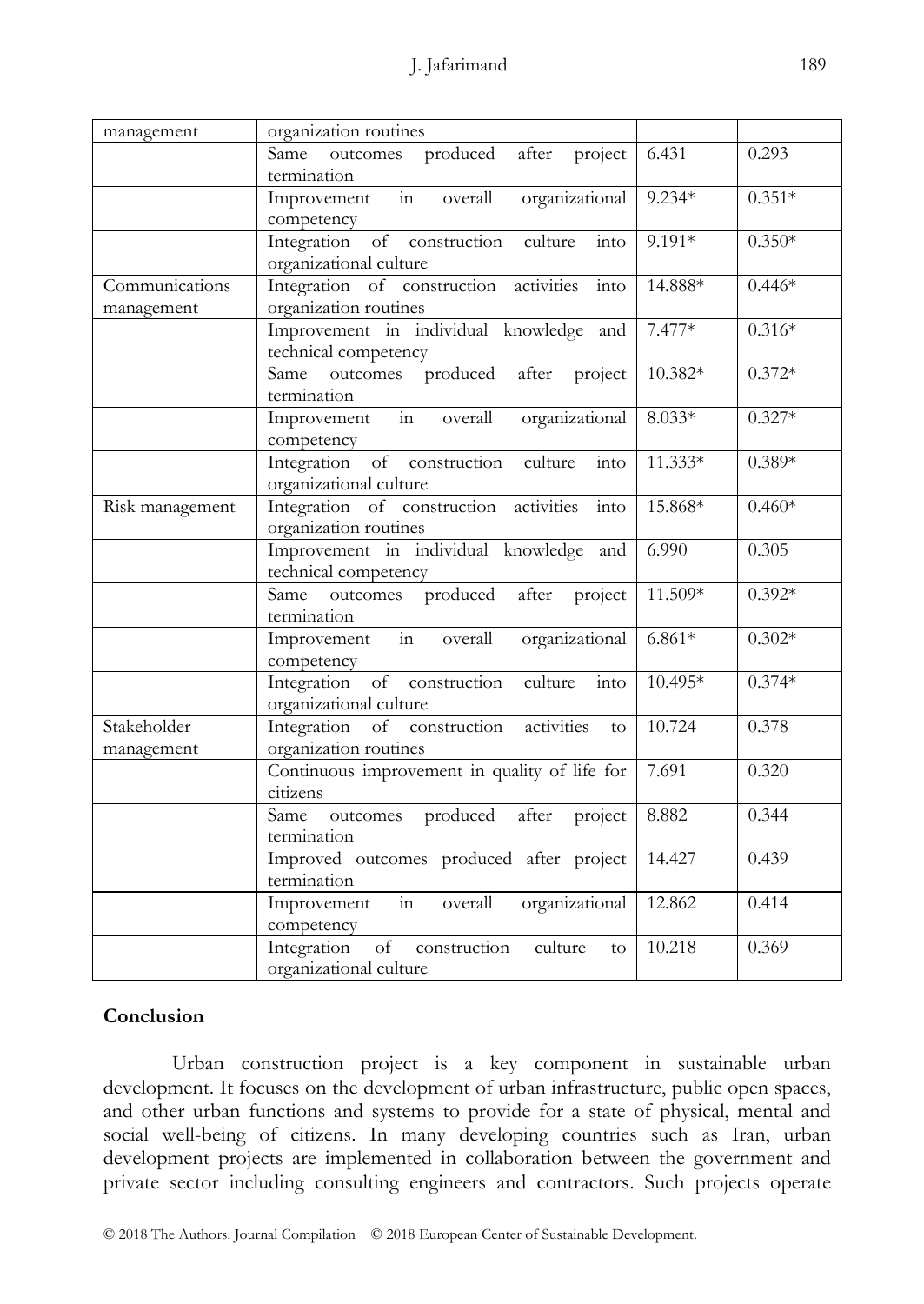| management                   | organization routines                                                                    |           |          |
|------------------------------|------------------------------------------------------------------------------------------|-----------|----------|
|                              | Same outcomes produced after project<br>termination                                      | 6.431     | 0.293    |
|                              | organizational<br>in<br>overall<br>Improvement<br>competency                             | $9.234*$  | $0.351*$ |
|                              | Integration of construction<br>culture<br>into<br>organizational culture                 | $9.191*$  | $0.350*$ |
| Communications<br>management | Integration of construction activities<br>into<br>organization routines                  | 14.888*   | $0.446*$ |
|                              | Improvement in individual knowledge and<br>technical competency                          | $7.477*$  | $0.316*$ |
|                              | Same outcomes produced after project<br>termination                                      | 10.382*   | $0.372*$ |
|                              | Improvement in<br>overall<br>organizational<br>competency                                | $8.033*$  | $0.327*$ |
|                              | Integration of construction culture<br>$\frac{1}{\text{into}}$<br>organizational culture | $11.333*$ | $0.389*$ |
| Risk management              | Integration of construction activities<br>into<br>organization routines                  | 15.868*   | $0.460*$ |
|                              | Improvement in individual knowledge and<br>technical competency                          | 6.990     | 0.305    |
|                              | outcomes produced<br>after<br>project<br>Same<br>termination                             | $11.509*$ | $0.392*$ |
|                              | Improvement in<br>overall<br>organizational<br>competency                                | $6.861*$  | $0.302*$ |
|                              | Integration of construction<br>culture<br>into<br>organizational culture                 | 10.495*   | $0.374*$ |
| Stakeholder<br>management    | Integration of construction activities<br>to<br>organization routines                    | 10.724    | 0.378    |
|                              | Continuous improvement in quality of life for<br>citizens                                | 7.691     | 0.320    |
|                              | outcomes produced after<br><b>Same</b><br>project<br>termination                         | 8.882     | 0.344    |
|                              | Improved outcomes produced after project<br>termination                                  | 14.427    | 0.439    |
|                              | Improvement in<br>overall<br>organizational<br>competency                                | 12.862    | 0.414    |
|                              | of<br>culture<br>Integration<br>construction<br>to<br>organizational culture             | 10.218    | 0.369    |

## **Conclusion**

Urban construction project is a key component in sustainable urban development. It focuses on the development of urban infrastructure, public open spaces, and other urban functions and systems to provide for a state of physical, mental and social well-being of citizens. In many developing countries such as Iran, urban development projects are implemented in collaboration between the government and private sector including consulting engineers and contractors. Such projects operate